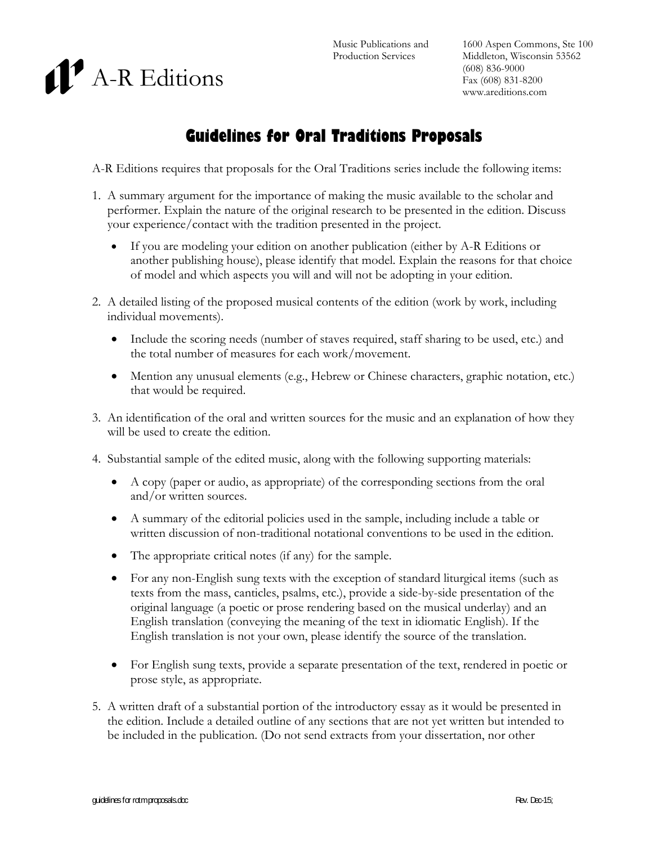



## **Guidelines for Oral Traditions Proposals**

A-R Editions requires that proposals for the Oral Traditions series include the following items:

- 1. A summary argument for the importance of making the music available to the scholar and performer. Explain the nature of the original research to be presented in the edition. Discuss your experience/contact with the tradition presented in the project.
	- If you are modeling your edition on another publication (either by A-R Editions or another publishing house), please identify that model. Explain the reasons for that choice of model and which aspects you will and will not be adopting in your edition.
- 2. A detailed listing of the proposed musical contents of the edition (work by work, including individual movements).
	- Include the scoring needs (number of staves required, staff sharing to be used, etc.) and the total number of measures for each work/movement.
	- Mention any unusual elements (e.g., Hebrew or Chinese characters, graphic notation, etc.) that would be required.
- 3. An identification of the oral and written sources for the music and an explanation of how they will be used to create the edition.
- 4. Substantial sample of the edited music, along with the following supporting materials:
	- A copy (paper or audio, as appropriate) of the corresponding sections from the oral and/or written sources.
	- A summary of the editorial policies used in the sample, including include a table or written discussion of non-traditional notational conventions to be used in the edition.
	- The appropriate critical notes (if any) for the sample.
	- For any non-English sung texts with the exception of standard liturgical items (such as texts from the mass, canticles, psalms, etc.), provide a side-by-side presentation of the original language (a poetic or prose rendering based on the musical underlay) and an English translation (conveying the meaning of the text in idiomatic English). If the English translation is not your own, please identify the source of the translation.
	- For English sung texts, provide a separate presentation of the text, rendered in poetic or prose style, as appropriate.
- 5. A written draft of a substantial portion of the introductory essay as it would be presented in the edition. Include a detailed outline of any sections that are not yet written but intended to be included in the publication. (Do not send extracts from your dissertation, nor other